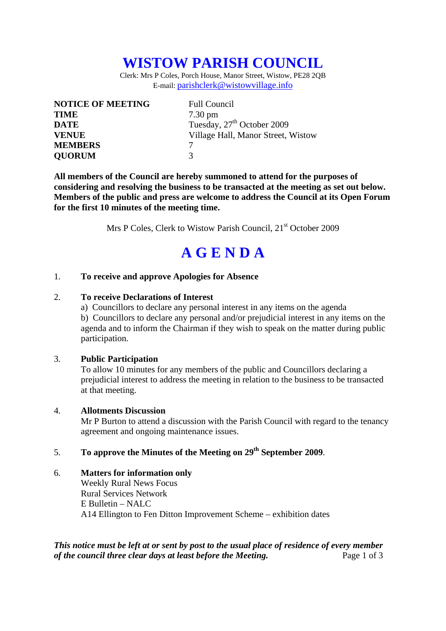# **WISTOW PARISH COUNCIL**

Clerk: Mrs P Coles, Porch House, Manor Street, Wistow, PE28 2QB E-mail: parishclerk@wistowvillage.info

| <b>NOTICE OF MEETING</b> | <b>Full Council</b>                    |
|--------------------------|----------------------------------------|
| <b>TIME</b>              | $7.30 \text{ pm}$                      |
| <b>DATE</b>              | Tuesday, 27 <sup>th</sup> October 2009 |
| <b>VENUE</b>             | Village Hall, Manor Street, Wistow     |
| <b>MEMBERS</b>           |                                        |
| <b>QUORUM</b>            | $\mathcal{R}$                          |

**All members of the Council are hereby summoned to attend for the purposes of considering and resolving the business to be transacted at the meeting as set out below. Members of the public and press are welcome to address the Council at its Open Forum for the first 10 minutes of the meeting time.** 

Mrs P Coles, Clerk to Wistow Parish Council, 21<sup>st</sup> October 2009

# **A G E N D A**

### 1. **To receive and approve Apologies for Absence**

#### 2. **To receive Declarations of Interest**

 a) Councillors to declare any personal interest in any items on the agenda b) Councillors to declare any personal and/or prejudicial interest in any items on the agenda and to inform the Chairman if they wish to speak on the matter during public participation.

### 3. **Public Participation**

To allow 10 minutes for any members of the public and Councillors declaring a prejudicial interest to address the meeting in relation to the business to be transacted at that meeting.

#### 4. **Allotments Discussion**

Mr P Burton to attend a discussion with the Parish Council with regard to the tenancy agreement and ongoing maintenance issues.

# 5. **To approve the Minutes of the Meeting on 29th September 2009**.

## 6. **Matters for information only**  Weekly Rural News Focus Rural Services Network E Bulletin – NALC A14 Ellington to Fen Ditton Improvement Scheme – exhibition dates

*This notice must be left at or sent by post to the usual place of residence of every member of the council three clear days at least before the Meeting.* Page 1 of 3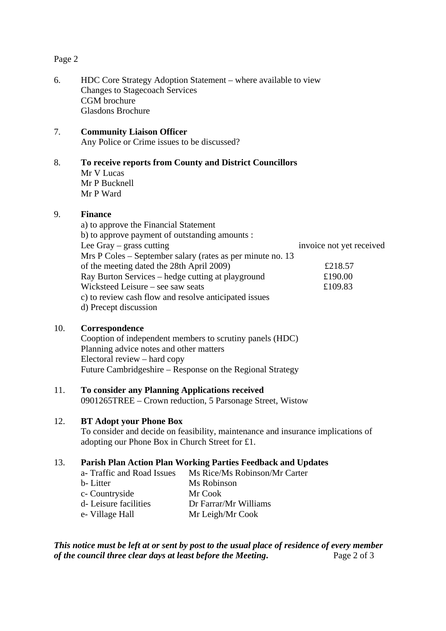### Page 2

6. HDC Core Strategy Adoption Statement – where available to view Changes to Stagecoach Services CGM brochure Glasdons Brochure

# 7. **Community Liaison Officer**

Any Police or Crime issues to be discussed?

# 8. **To receive reports from County and District Councillors**

Mr V Lucas Mr P Bucknell Mr P Ward

# 9. **Finance**

a) to approve the Financial Statement b) to approve payment of outstanding amounts : Lee Gray – grass cutting invoice not yet received Mrs P Coles – September salary (rates as per minute no. 13 of the meeting dated the 28th April 2009) £218.57 Ray Burton Services – hedge cutting at playground £190.00 Wicksteed Leisure – see saw seats  $£109.83$ c) to review cash flow and resolve anticipated issues d) Precept discussion

# 10. **Correspondence**

Cooption of independent members to scrutiny panels (HDC) Planning advice notes and other matters Electoral review – hard copy Future Cambridgeshire – Response on the Regional Strategy

# 11. **To consider any Planning Applications received**

0901265TREE – Crown reduction, 5 Parsonage Street, Wistow

# 12. **BT Adopt your Phone Box**

To consider and decide on feasibility, maintenance and insurance implications of adopting our Phone Box in Church Street for £1.

# 13. **Parish Plan Action Plan Working Parties Feedback and Updates**

| a- Traffic and Road Issues | Ms Rice/Ms Robinson/Mr Carter |
|----------------------------|-------------------------------|
| b-Litter                   | Ms Robinson                   |
| c- Countryside             | Mr Cook                       |
| d-Leisure facilities       | Dr Farrar/Mr Williams         |
| e- Village Hall            | Mr Leigh/Mr Cook              |
|                            |                               |

*This notice must be left at or sent by post to the usual place of residence of every member of the council three clear days at least before the Meeting.* Page 2 of 3